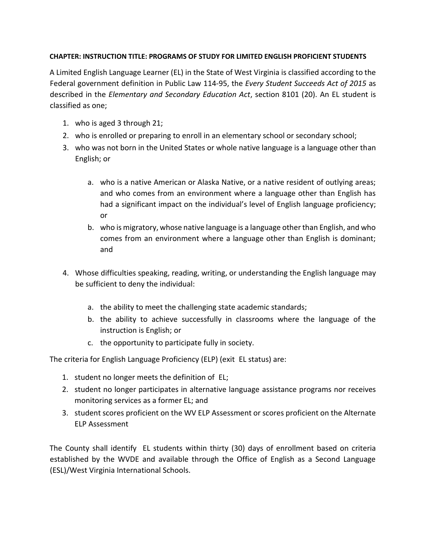## **CHAPTER: INSTRUCTION TITLE: PROGRAMS OF STUDY FOR LIMITED ENGLISH PROFICIENT STUDENTS**

A Limited English Language Learner (EL) in the State of West Virginia is classified according to the Federal government definition in Public Law 114-95, the *Every Student Succeeds Act of 2015* as described in the *Elementary and Secondary Education Act*, section 8101 (20). An EL student is classified as one;

- 1. who is aged 3 through 21;
- 2. who is enrolled or preparing to enroll in an elementary school or secondary school;
- 3. who was not born in the United States or whole native language is a language other than English; or
	- a. who is a native American or Alaska Native, or a native resident of outlying areas; and who comes from an environment where a language other than English has had a significant impact on the individual's level of English language proficiency; or
	- b. who is migratory, whose native language is a language other than English, and who comes from an environment where a language other than English is dominant; and
- 4. Whose difficulties speaking, reading, writing, or understanding the English language may be sufficient to deny the individual:
	- a. the ability to meet the challenging state academic standards;
	- b. the ability to achieve successfully in classrooms where the language of the instruction is English; or
	- c. the opportunity to participate fully in society.

The criteria for English Language Proficiency (ELP) (exit EL status) are:

- 1. student no longer meets the definition of EL;
- 2. student no longer participates in alternative language assistance programs nor receives monitoring services as a former EL; and
- 3. student scores proficient on the WV ELP Assessment or scores proficient on the Alternate ELP Assessment

The County shall identify EL students within thirty (30) days of enrollment based on criteria established by the WVDE and available through the Office of English as a Second Language (ESL)/West Virginia International Schools.